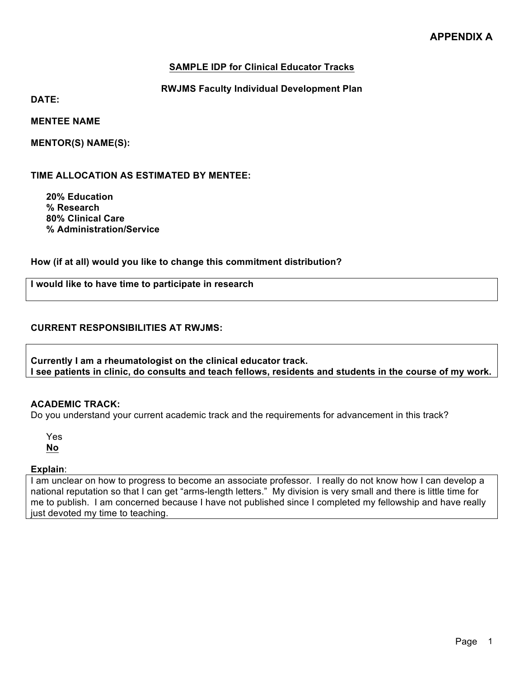## **SAMPLE IDP for Clinical Educator Tracks**

## **RWJMS Faculty Individual Development Plan**

**DATE:**

**MENTEE NAME**

**MENTOR(S) NAME(S):**

**TIME ALLOCATION AS ESTIMATED BY MENTEE:**

**20% Education % Research 80% Clinical Care % Administration/Service**

**How (if at all) would you like to change this commitment distribution?** 

**I would like to have time to participate in research**

#### **CURRENT RESPONSIBILITIES AT RWJMS:**

**Currently I am a rheumatologist on the clinical educator track. I see patients in clinic, do consults and teach fellows, residents and students in the course of my work.**

# **ACADEMIC TRACK:**

Do you understand your current academic track and the requirements for advancement in this track?

Yes **No**

#### **Explain**:

I am unclear on how to progress to become an associate professor. I really do not know how I can develop a national reputation so that I can get "arms-length letters." My division is very small and there is little time for me to publish. I am concerned because I have not published since I completed my fellowship and have really just devoted my time to teaching.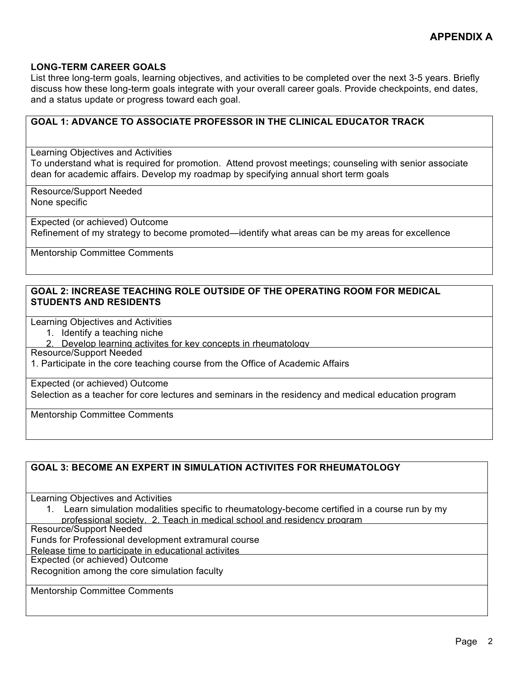#### **LONG-TERM CAREER GOALS**

List three long-term goals, learning objectives, and activities to be completed over the next 3-5 years. Briefly discuss how these long-term goals integrate with your overall career goals. Provide checkpoints, end dates, and a status update or progress toward each goal.

# **GOAL 1: ADVANCE TO ASSOCIATE PROFESSOR IN THE CLINICAL EDUCATOR TRACK** Learning Objectives and Activities To understand what is required for promotion. Attend provost meetings; counseling with senior associate dean for academic affairs. Develop my roadmap by specifying annual short term goals Resource/Support Needed None specific Expected (or achieved) Outcome Refinement of my strategy to become promoted—identify what areas can be my areas for excellence Mentorship Committee Comments **GOAL 2: INCREASE TEACHING ROLE OUTSIDE OF THE OPERATING ROOM FOR MEDICAL STUDENTS AND RESIDENTS**

Learning Objectives and Activities

- 1. Identify a teaching niche
- 2. Develop learning activites for key concepts in rheumatology

Resource/Support Needed

1. Participate in the core teaching course from the Office of Academic Affairs

Expected (or achieved) Outcome

Selection as a teacher for core lectures and seminars in the residency and medical education program

Mentorship Committee Comments

#### **GOAL 3: BECOME AN EXPERT IN SIMULATION ACTIVITES FOR RHEUMATOLOGY**

Learning Objectives and Activities

1. Learn simulation modalities specific to rheumatology-become certified in a course run by my professional society. 2. Teach in medical school and residency program

Resource/Support Needed

Funds for Professional development extramural course

Release time to participate in educational activites

Expected (or achieved) Outcome

Recognition among the core simulation faculty

Mentorship Committee Comments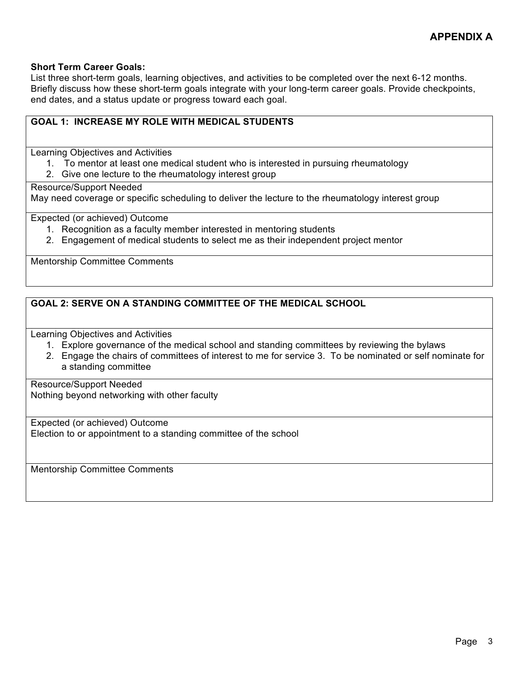#### **Short Term Career Goals:**

List three short-term goals, learning objectives, and activities to be completed over the next 6-12 months. Briefly discuss how these short-term goals integrate with your long-term career goals. Provide checkpoints, end dates, and a status update or progress toward each goal.

# **GOAL 1: INCREASE MY ROLE WITH MEDICAL STUDENTS**

Learning Objectives and Activities

- 1. To mentor at least one medical student who is interested in pursuing rheumatology
- 2. Give one lecture to the rheumatology interest group

Resource/Support Needed

May need coverage or specific scheduling to deliver the lecture to the rheumatology interest group

Expected (or achieved) Outcome

- 1. Recognition as a faculty member interested in mentoring students
- 2. Engagement of medical students to select me as their independent project mentor

Mentorship Committee Comments

# **GOAL 2: SERVE ON A STANDING COMMITTEE OF THE MEDICAL SCHOOL**

Learning Objectives and Activities

- 1. Explore governance of the medical school and standing committees by reviewing the bylaws
- 2. Engage the chairs of committees of interest to me for service 3. To be nominated or self nominate for a standing committee

Resource/Support Needed Nothing beyond networking with other faculty

Expected (or achieved) Outcome Election to or appointment to a standing committee of the school

Mentorship Committee Comments